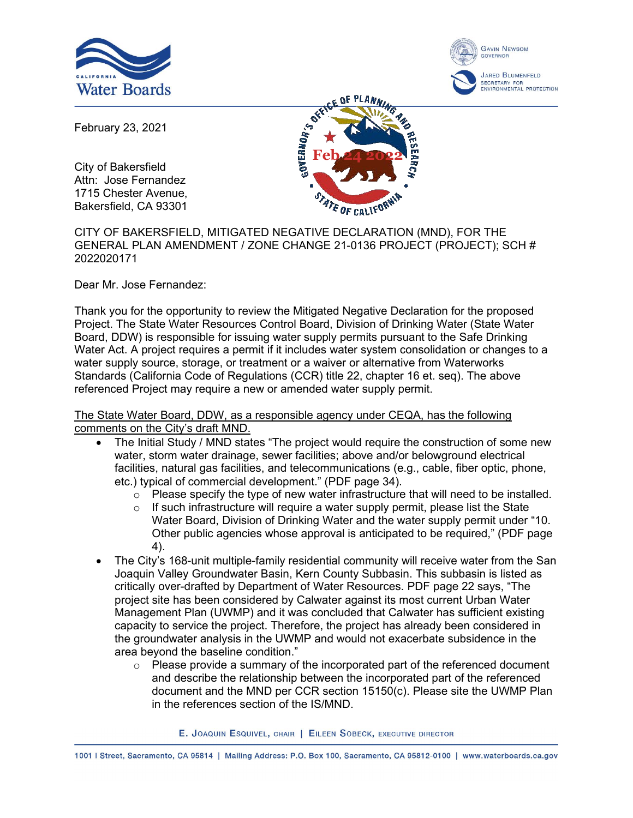



February 23, 2021

City of Bakersfield Attn: Jose Fernandez 1715 Chester Avenue, Bakersfield, CA 93301



CITY OF BAKERSFIELD, MITIGATED NEGATIVE DECLARATION (MND), FOR THE GENERAL PLAN AMENDMENT / ZONE CHANGE 21-0136 PROJECT (PROJECT); SCH # 2022020171

Dear Mr. Jose Fernandez:

Thank you for the opportunity to review the Mitigated Negative Declaration for the proposed Project. The State Water Resources Control Board, Division of Drinking Water (State Water Board, DDW) is responsible for issuing water supply permits pursuant to the Safe Drinking Water Act. A project requires a permit if it includes water system consolidation or changes to a water supply source, storage, or treatment or a waiver or alternative from Waterworks Standards (California Code of Regulations (CCR) title 22, chapter 16 et. seq). The above referenced Project may require a new or amended water supply permit.

The State Water Board, DDW, as a responsible agency under CEQA, has the following comments on the City's draft MND.

- The Initial Study / MND states "The project would require the construction of some new water, storm water drainage, sewer facilities; above and/or belowground electrical facilities, natural gas facilities, and telecommunications (e.g., cable, fiber optic, phone, etc.) typical of commercial development." (PDF page 34).
	- o Please specify the type of new water infrastructure that will need to be installed.
	- $\circ$  If such infrastructure will require a water supply permit, please list the State Water Board, Division of Drinking Water and the water supply permit under "10. Other public agencies whose approval is anticipated to be required," (PDF page 4).
- · The City's 168-unit multiple-family residential community will receive water from the San Joaquin Valley Groundwater Basin, Kern County Subbasin. This subbasin is listed as critically over-drafted by Department of Water Resources. PDF page 22 says, "The project site has been considered by Calwater against its most current Urban Water Management Plan (UWMP) and it was concluded that Calwater has sufficient existing capacity to service the project. Therefore, the project has already been considered in the groundwater analysis in the UWMP and would not exacerbate subsidence in the area beyond the baseline condition."
	- o Please provide a summary of the incorporated part of the referenced document and describe the relationship between the incorporated part of the referenced document and the MND per CCR section 15150(c). Please site the UWMP Plan in the references section of the IS/MND.

E. JOAQUIN ESQUIVEL, CHAIR | EILEEN SOBECK, EXECUTIVE DIRECTOR

1001 | Street, Sacramento, CA 95814 | Mailing Address: P.O. Box 100, Sacramento, CA 95812-0100 | www.waterboards.ca.gov